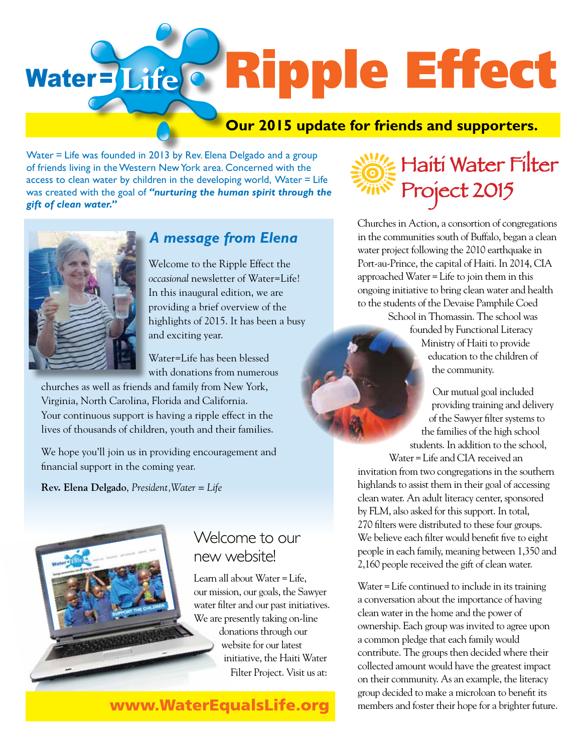# Water=Life<sup>c</sup> Ripple Effect

#### **Our 2015 update for friends and supporters.**

Water = Life was founded in 2013 by Rev. Elena Delgado and a group of friends living in the Western New York area. Concerned with the access to clean water by children in the developing world, Water = Life was created with the goal of *"nurturing the human spirit through the gift of clean water."*



#### *A message from Elena*

Welcome to the Ripple Effect the *occasional* newsletter of Water=Life! In this inaugural edition, we are providing a brief overview of the highlights of 2015. It has been a busy and exciting year.

Water=Life has been blessed with donations from numerous

churches as well as friends and family from New York, Virginia, North Carolina, Florida and California. Your continuous support is having a ripple effect in the lives of thousands of children, youth and their families.

We hope you'll join us in providing encouragement and financial support in the coming year.

**Rev. Elena Delgado**, *President,Water = Life*



#### Welcome to our new website!

Learn all about Water=Life, our mission, our goals, the Sawyer water filter and our past initiatives. We are presently taking on-line donations through our website for our latest initiative, the Haiti Water Filter Project. Visit us at:

www.WaterEqualsLife.org



Churches in Action, a consortion of congregations in the communities south of Buffalo, began a clean water project following the 2010 earthquake in Port-au-Prince, the capital of Haiti. In 2014, CIA approached Water=Life to join them in this ongoing initiative to bring clean water and health to the students of the Devaise Pamphile Coed School in Thomassin. The school was founded by Functional Literacy Ministry of Haiti to provide education to the children of the community.

> Our mutual goal included providing training and delivery of the Sawyer filter systems to the families of the high school students. In addition to the school,

Water=Life and CIA received an invitation from two congregations in the southern highlands to assist them in their goal of accessing clean water. An adult literacy center, sponsored by FLM, also asked for this support. In total, 270 filters were distributed to these four groups. We believe each filter would benefit five to eight people in each family, meaning between 1,350 and 2,160 people received the gift of clean water.

Water=Life continued to include in its training a conversation about the importance of having clean water in the home and the power of ownership. Each group was invited to agree upon a common pledge that each family would contribute. The groups then decided where their collected amount would have the greatest impact on their community. As an example, the literacy group decided to make a microloan to benefit its members and foster their hope for a brighter future.